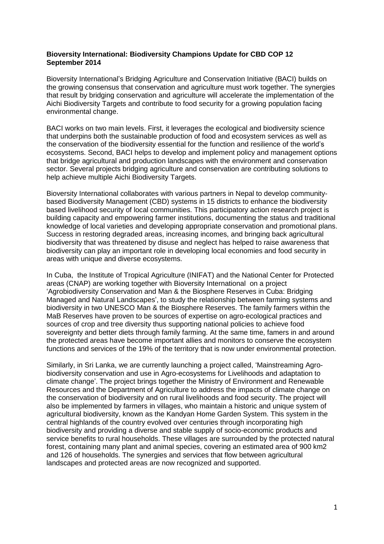## **Bioversity International: Biodiversity Champions Update for CBD COP 12 September 2014**

Bioversity International's Bridging Agriculture and Conservation Initiative (BACI) builds on the growing consensus that conservation and agriculture must work together. The synergies that result by bridging conservation and agriculture will accelerate the implementation of the Aichi Biodiversity Targets and contribute to food security for a growing population facing environmental change.

BACI works on two main levels. First, it leverages the ecological and biodiversity science that underpins both the sustainable production of food and ecosystem services as well as the conservation of the biodiversity essential for the function and resilience of the world's ecosystems. Second, BACI helps to develop and implement policy and management options that bridge agricultural and production landscapes with the environment and conservation sector. Several projects bridging agriculture and conservation are contributing solutions to help achieve multiple Aichi Biodiversity Targets.

Bioversity International collaborates with various partners in Nepal to develop communitybased Biodiversity Management (CBD) systems in 15 districts to enhance the biodiversity based livelihood security of local communities. This participatory action research project is building capacity and empowering farmer institutions, documenting the status and traditional knowledge of local varieties and developing appropriate conservation and promotional plans. Success in restoring degraded areas, increasing incomes, and bringing back agricultural biodiversity that was threatened by disuse and neglect has helped to raise awareness that biodiversity can play an important role in developing local economies and food security in areas with unique and diverse ecosystems.

In Cuba, the Institute of Tropical Agriculture (INIFAT) and the National Center for Protected areas (CNAP) are working together with Bioversity International on a project 'Agrobiodiversity Conservation and Man & the Biosphere Reserves in Cuba: Bridging Managed and Natural Landscapes', to study the relationship between farming systems and biodiversity in two UNESCO Man & the Biosphere Reserves. The family farmers within the MaB Reserves have proven to be sources of expertise on agro-ecological practices and sources of crop and tree diversity thus supporting national policies to achieve food sovereignty and better diets through family farming. At the same time, famers in and around the protected areas have become important allies and monitors to conserve the ecosystem functions and services of the 19% of the territory that is now under environmental protection.

Similarly, in Sri Lanka, we are currently launching a project called, 'Mainstreaming Agrobiodiversity conservation and use in Agro-ecosystems for Livelihoods and adaptation to climate change'. The project brings together the Ministry of Environment and Renewable Resources and the Department of Agriculture to address the impacts of climate change on the conservation of biodiversity and on rural livelihoods and food security. The project will also be implemented by farmers in villages, who maintain a historic and unique system of agricultural biodiversity, known as the Kandyan Home Garden System. This system in the central highlands of the country evolved over centuries through incorporating high biodiversity and providing a diverse and stable supply of socio-economic products and service benefits to rural households. These villages are surrounded by the protected natural forest, containing many plant and animal species, covering an estimated area of 900 km2 and 126 of households. The synergies and services that flow between agricultural landscapes and protected areas are now recognized and supported.